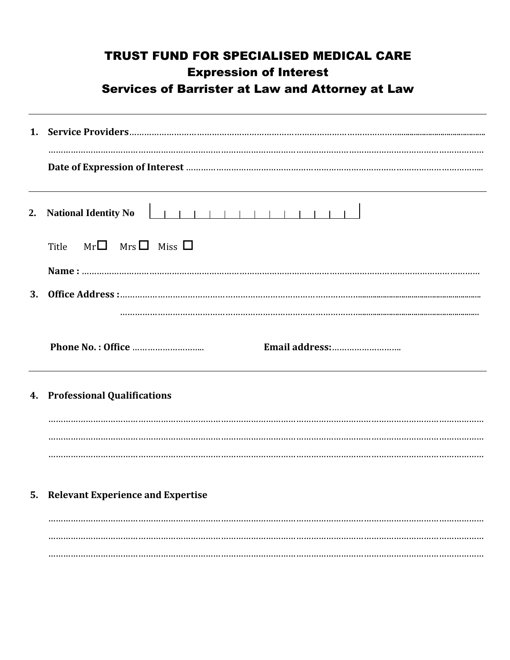|    | <b>TRUST FUND FOR SPECIALISED MEDICAL CARE</b><br><b>Expression of Interest</b><br><b>Services of Barrister at Law and Attorney at Law</b> |
|----|--------------------------------------------------------------------------------------------------------------------------------------------|
|    |                                                                                                                                            |
|    |                                                                                                                                            |
|    | 2. National Identity No                                                                                                                    |
|    | Title $Mr\Box$ Mrs $\Box$ Miss $\Box$                                                                                                      |
|    |                                                                                                                                            |
|    |                                                                                                                                            |
|    |                                                                                                                                            |
|    |                                                                                                                                            |
|    | 4. Professional Qualifications                                                                                                             |
|    |                                                                                                                                            |
|    |                                                                                                                                            |
|    |                                                                                                                                            |
| 5. | <b>Relevant Experience and Expertise</b>                                                                                                   |
|    |                                                                                                                                            |
|    |                                                                                                                                            |